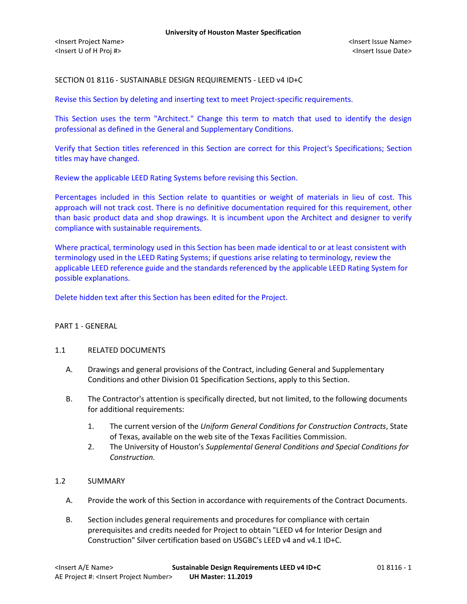### SECTION 01 8116 - SUSTAINABLE DESIGN REQUIREMENTS - LEED v4 ID+C

Revise this Section by deleting and inserting text to meet Project-specific requirements.

This Section uses the term "Architect." Change this term to match that used to identify the design professional as defined in the General and Supplementary Conditions.

Verify that Section titles referenced in this Section are correct for this Project's Specifications; Section titles may have changed.

Review the applicable LEED Rating Systems before revising this Section.

Percentages included in this Section relate to quantities or weight of materials in lieu of cost. This approach will not track cost. There is no definitive documentation required for this requirement, other than basic product data and shop drawings. It is incumbent upon the Architect and designer to verify compliance with sustainable requirements.

Where practical, terminology used in this Section has been made identical to or at least consistent with terminology used in the LEED Rating Systems; if questions arise relating to terminology, review the applicable LEED reference guide and the standards referenced by the applicable LEED Rating System for possible explanations.

Delete hidden text after this Section has been edited for the Project.

### PART 1 - GENERAL

### 1.1 RELATED DOCUMENTS

- A. Drawings and general provisions of the Contract, including General and Supplementary Conditions and other Division 01 Specification Sections, apply to this Section.
- B. The Contractor's attention is specifically directed, but not limited, to the following documents for additional requirements:
	- 1. The current version of the *Uniform General Conditions for Construction Contracts*, State of Texas, available on the web site of the Texas Facilities Commission.
	- 2. The University of Houston's *Supplemental General Conditions and Special Conditions for Construction.*

### 1.2 SUMMARY

- A. Provide the work of this Section in accordance with requirements of the Contract Documents.
- B. Section includes general requirements and procedures for compliance with certain prerequisites and credits needed for Project to obtain "LEED v4 for Interior Design and Construction" Silver certification based on USGBC's LEED v4 and v4.1 ID+C.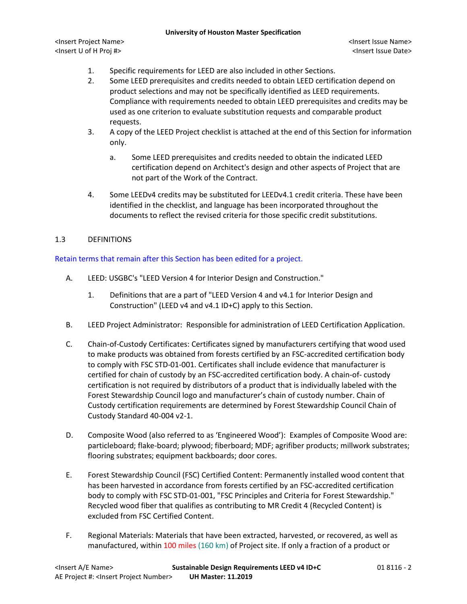<Insert Project Name> <Insert Issue Name> <Insert U of H Proj #> <Insert Issue Date>

- 1. Specific requirements for LEED are also included in other Sections.
- 2. Some LEED prerequisites and credits needed to obtain LEED certification depend on product selections and may not be specifically identified as LEED requirements. Compliance with requirements needed to obtain LEED prerequisites and credits may be used as one criterion to evaluate substitution requests and comparable product requests.
- 3. A copy of the LEED Project checklist is attached at the end of this Section for information only.
	- a. Some LEED prerequisites and credits needed to obtain the indicated LEED certification depend on Architect's design and other aspects of Project that are not part of the Work of the Contract.
- 4. Some LEEDv4 credits may be substituted for LEEDv4.1 credit criteria. These have been identified in the checklist, and language has been incorporated throughout the documents to reflect the revised criteria for those specific credit substitutions.

# 1.3 DEFINITIONS

# Retain terms that remain after this Section has been edited for a project.

- A. LEED: USGBC's "LEED Version 4 for Interior Design and Construction."
	- 1. Definitions that are a part of "LEED Version 4 and v4.1 for Interior Design and Construction" (LEED v4 and v4.1 ID+C) apply to this Section.
- B. LEED Project Administrator: Responsible for administration of LEED Certification Application.
- C. Chain-of-Custody Certificates: Certificates signed by manufacturers certifying that wood used to make products was obtained from forests certified by an FSC-accredited certification body to comply with FSC STD-01-001. Certificates shall include evidence that manufacturer is certified for chain of custody by an FSC-accredited certification body. A chain-of- custody certification is not required by distributors of a product that is individually labeled with the Forest Stewardship Council logo and manufacturer's chain of custody number. Chain of Custody certification requirements are determined by Forest Stewardship Council Chain of Custody Standard 40-004 v2-1.
- D. Composite Wood (also referred to as 'Engineered Wood'): Examples of Composite Wood are: particleboard; flake-board; plywood; fiberboard; MDF; agrifiber products; millwork substrates; flooring substrates; equipment backboards; door cores.
- E. Forest Stewardship Council (FSC) Certified Content: Permanently installed wood content that has been harvested in accordance from forests certified by an FSC-accredited certification body to comply with FSC STD-01-001, "FSC Principles and Criteria for Forest Stewardship." Recycled wood fiber that qualifies as contributing to MR Credit 4 (Recycled Content) is excluded from FSC Certified Content.
- F. Regional Materials: Materials that have been extracted, harvested, or recovered, as well as manufactured, within 100 miles (160 km) of Project site. If only a fraction of a product or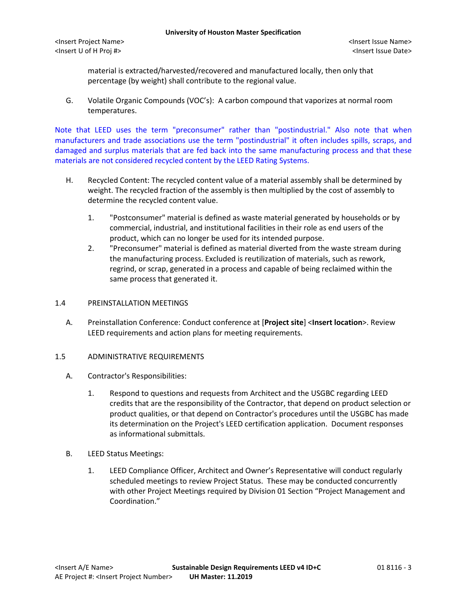material is extracted/harvested/recovered and manufactured locally, then only that percentage (by weight) shall contribute to the regional value.

G. Volatile Organic Compounds (VOC's): A carbon compound that vaporizes at normal room temperatures.

Note that LEED uses the term "preconsumer" rather than "postindustrial." Also note that when manufacturers and trade associations use the term "postindustrial" it often includes spills, scraps, and damaged and surplus materials that are fed back into the same manufacturing process and that these materials are not considered recycled content by the LEED Rating Systems.

- H. Recycled Content: The recycled content value of a material assembly shall be determined by weight. The recycled fraction of the assembly is then multiplied by the cost of assembly to determine the recycled content value.
	- 1. "Postconsumer" material is defined as waste material generated by households or by commercial, industrial, and institutional facilities in their role as end users of the product, which can no longer be used for its intended purpose.
	- 2. "Preconsumer" material is defined as material diverted from the waste stream during the manufacturing process. Excluded is reutilization of materials, such as rework, regrind, or scrap, generated in a process and capable of being reclaimed within the same process that generated it.

### 1.4 PREINSTALLATION MEETINGS

A. Preinstallation Conference: Conduct conference at [**Project site**] <**Insert location**>. Review LEED requirements and action plans for meeting requirements.

### 1.5 ADMINISTRATIVE REQUIREMENTS

- A. Contractor's Responsibilities:
	- 1. Respond to questions and requests from Architect and the USGBC regarding LEED credits that are the responsibility of the Contractor, that depend on product selection or product qualities, or that depend on Contractor's procedures until the USGBC has made its determination on the Project's LEED certification application. Document responses as informational submittals.
- B. LEED Status Meetings:
	- 1. LEED Compliance Officer, Architect and Owner's Representative will conduct regularly scheduled meetings to review Project Status. These may be conducted concurrently with other Project Meetings required by Division 01 Section "Project Management and Coordination."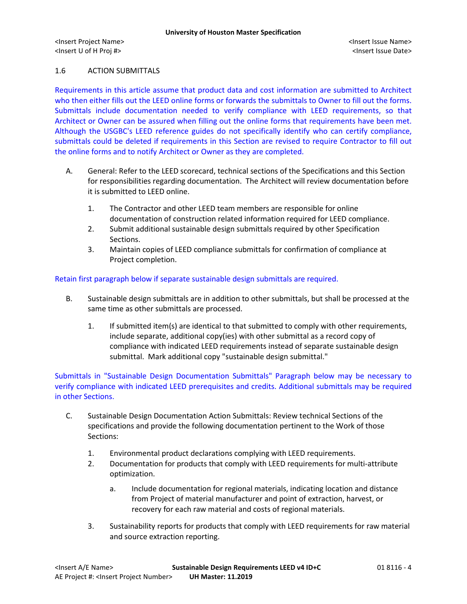## 1.6 ACTION SUBMITTALS

Requirements in this article assume that product data and cost information are submitted to Architect who then either fills out the LEED online forms or forwards the submittals to Owner to fill out the forms. Submittals include documentation needed to verify compliance with LEED requirements, so that Architect or Owner can be assured when filling out the online forms that requirements have been met. Although the USGBC's LEED reference guides do not specifically identify who can certify compliance, submittals could be deleted if requirements in this Section are revised to require Contractor to fill out the online forms and to notify Architect or Owner as they are completed.

- A. General: Refer to the LEED scorecard, technical sections of the Specifications and this Section for responsibilities regarding documentation. The Architect will review documentation before it is submitted to LEED online.
	- 1. The Contractor and other LEED team members are responsible for online documentation of construction related information required for LEED compliance.
	- 2. Submit additional sustainable design submittals required by other Specification Sections.
	- 3. Maintain copies of LEED compliance submittals for confirmation of compliance at Project completion.

### Retain first paragraph below if separate sustainable design submittals are required.

- B. Sustainable design submittals are in addition to other submittals, but shall be processed at the same time as other submittals are processed.
	- 1. If submitted item(s) are identical to that submitted to comply with other requirements, include separate, additional copy(ies) with other submittal as a record copy of compliance with indicated LEED requirements instead of separate sustainable design submittal. Mark additional copy "sustainable design submittal."

Submittals in "Sustainable Design Documentation Submittals" Paragraph below may be necessary to verify compliance with indicated LEED prerequisites and credits. Additional submittals may be required in other Sections.

- C. Sustainable Design Documentation Action Submittals: Review technical Sections of the specifications and provide the following documentation pertinent to the Work of those Sections:
	- 1. Environmental product declarations complying with LEED requirements.
	- 2. Documentation for products that comply with LEED requirements for multi-attribute optimization.
		- a. Include documentation for regional materials, indicating location and distance from Project of material manufacturer and point of extraction, harvest, or recovery for each raw material and costs of regional materials.
	- 3. Sustainability reports for products that comply with LEED requirements for raw material and source extraction reporting.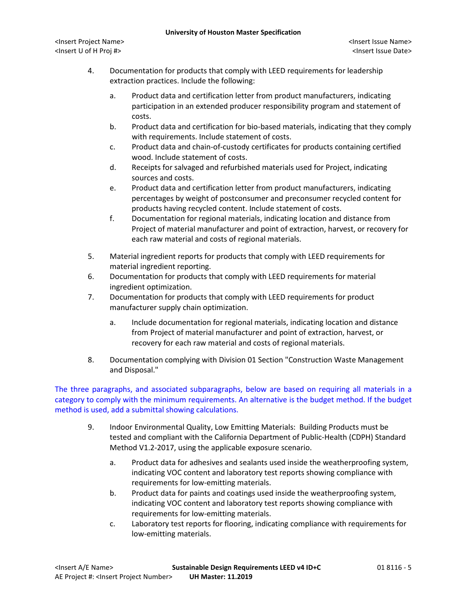- 4. Documentation for products that comply with LEED requirements for leadership extraction practices. Include the following:
	- a. Product data and certification letter from product manufacturers, indicating participation in an extended producer responsibility program and statement of costs.
	- b. Product data and certification for bio-based materials, indicating that they comply with requirements. Include statement of costs.
	- c. Product data and chain-of-custody certificates for products containing certified wood. Include statement of costs.
	- d. Receipts for salvaged and refurbished materials used for Project, indicating sources and costs.
	- e. Product data and certification letter from product manufacturers, indicating percentages by weight of postconsumer and preconsumer recycled content for products having recycled content. Include statement of costs.
	- f. Documentation for regional materials, indicating location and distance from Project of material manufacturer and point of extraction, harvest, or recovery for each raw material and costs of regional materials.
- 5. Material ingredient reports for products that comply with LEED requirements for material ingredient reporting.
- 6. Documentation for products that comply with LEED requirements for material ingredient optimization.
- 7. Documentation for products that comply with LEED requirements for product manufacturer supply chain optimization.
	- a. Include documentation for regional materials, indicating location and distance from Project of material manufacturer and point of extraction, harvest, or recovery for each raw material and costs of regional materials.
- 8. Documentation complying with Division 01 Section "Construction Waste Management and Disposal."

The three paragraphs, and associated subparagraphs, below are based on requiring all materials in a category to comply with the minimum requirements. An alternative is the budget method. If the budget method is used, add a submittal showing calculations.

- 9. Indoor Environmental Quality, Low Emitting Materials: Building Products must be tested and compliant with the California Department of Public-Health (CDPH) Standard Method V1.2-2017, using the applicable exposure scenario.
	- a. Product data for adhesives and sealants used inside the weatherproofing system, indicating VOC content and laboratory test reports showing compliance with requirements for low-emitting materials.
	- b. Product data for paints and coatings used inside the weatherproofing system, indicating VOC content and laboratory test reports showing compliance with requirements for low-emitting materials.
	- c. Laboratory test reports for flooring, indicating compliance with requirements for low-emitting materials.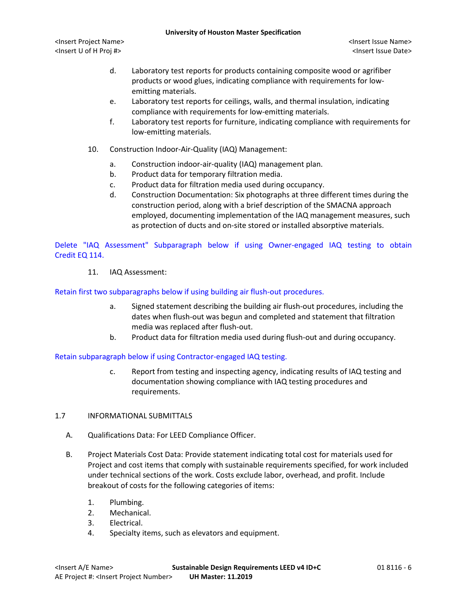- d. Laboratory test reports for products containing composite wood or agrifiber products or wood glues, indicating compliance with requirements for lowemitting materials.
- e. Laboratory test reports for ceilings, walls, and thermal insulation, indicating compliance with requirements for low-emitting materials.
- f. Laboratory test reports for furniture, indicating compliance with requirements for low-emitting materials.
- 10. Construction Indoor-Air-Quality (IAQ) Management:
	- a. Construction indoor-air-quality (IAQ) management plan.
	- b. Product data for temporary filtration media.
	- c. Product data for filtration media used during occupancy.
	- d. Construction Documentation: Six photographs at three different times during the construction period, along with a brief description of the SMACNA approach employed, documenting implementation of the IAQ management measures, such as protection of ducts and on-site stored or installed absorptive materials.

Delete "IAQ Assessment" Subparagraph below if using Owner-engaged IAQ testing to obtain Credit EQ 114.

11. IAQ Assessment:

Retain first two subparagraphs below if using building air flush-out procedures.

- a. Signed statement describing the building air flush-out procedures, including the dates when flush-out was begun and completed and statement that filtration media was replaced after flush-out.
- b. Product data for filtration media used during flush-out and during occupancy.

Retain subparagraph below if using Contractor-engaged IAQ testing.

- c. Report from testing and inspecting agency, indicating results of IAQ testing and documentation showing compliance with IAQ testing procedures and requirements.
- 1.7 INFORMATIONAL SUBMITTALS
	- A. Qualifications Data: For LEED Compliance Officer.
	- B. Project Materials Cost Data: Provide statement indicating total cost for materials used for Project and cost items that comply with sustainable requirements specified, for work included under technical sections of the work. Costs exclude labor, overhead, and profit. Include breakout of costs for the following categories of items:
		- 1. Plumbing.
		- 2. Mechanical.
		- 3. Electrical.
		- 4. Specialty items, such as elevators and equipment.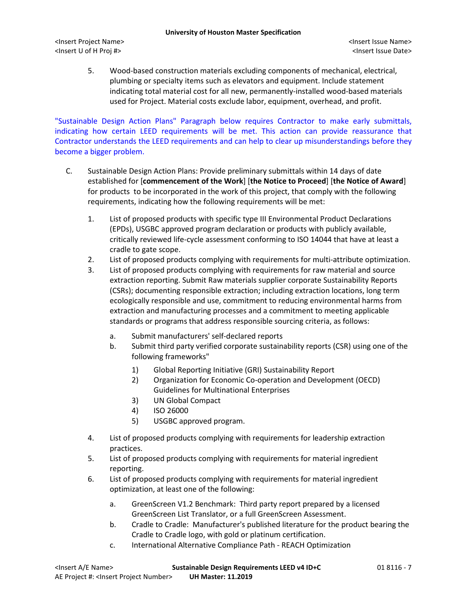5. Wood-based construction materials excluding components of mechanical, electrical, plumbing or specialty items such as elevators and equipment. Include statement indicating total material cost for all new, permanently-installed wood-based materials used for Project. Material costs exclude labor, equipment, overhead, and profit.

"Sustainable Design Action Plans" Paragraph below requires Contractor to make early submittals, indicating how certain LEED requirements will be met. This action can provide reassurance that Contractor understands the LEED requirements and can help to clear up misunderstandings before they become a bigger problem.

- C. Sustainable Design Action Plans: Provide preliminary submittals within 14 days of date established for [**commencement of the Work**] [**the Notice to Proceed**] [**the Notice of Award**] for products to be incorporated in the work of this project, that comply with the following requirements, indicating how the following requirements will be met:
	- 1. List of proposed products with specific type III Environmental Product Declarations (EPDs), USGBC approved program declaration or products with publicly available, critically reviewed life-cycle assessment conforming to ISO 14044 that have at least a cradle to gate scope.
	- 2. List of proposed products complying with requirements for multi-attribute optimization.
	- 3. List of proposed products complying with requirements for raw material and source extraction reporting. Submit Raw materials supplier corporate Sustainability Reports (CSRs); documenting responsible extraction; including extraction locations, long term ecologically responsible and use, commitment to reducing environmental harms from extraction and manufacturing processes and a commitment to meeting applicable standards or programs that address responsible sourcing criteria, as follows:
		- a. Submit manufacturers' self-declared reports
		- b. Submit third party verified corporate sustainability reports (CSR) using one of the following frameworks"
			- 1) Global Reporting Initiative (GRI) Sustainability Report
			- 2) Organization for Economic Co-operation and Development (OECD) Guidelines for Multinational Enterprises
			- 3) UN Global Compact
			- 4) ISO 26000
			- 5) USGBC approved program.
	- 4. List of proposed products complying with requirements for leadership extraction practices.
	- 5. List of proposed products complying with requirements for material ingredient reporting.
	- 6. List of proposed products complying with requirements for material ingredient optimization, at least one of the following:
		- a. GreenScreen V1.2 Benchmark: Third party report prepared by a licensed GreenScreen List Translator, or a full GreenScreen Assessment.
		- b. Cradle to Cradle: Manufacturer's published literature for the product bearing the Cradle to Cradle logo, with gold or platinum certification.
		- c. International Alternative Compliance Path REACH Optimization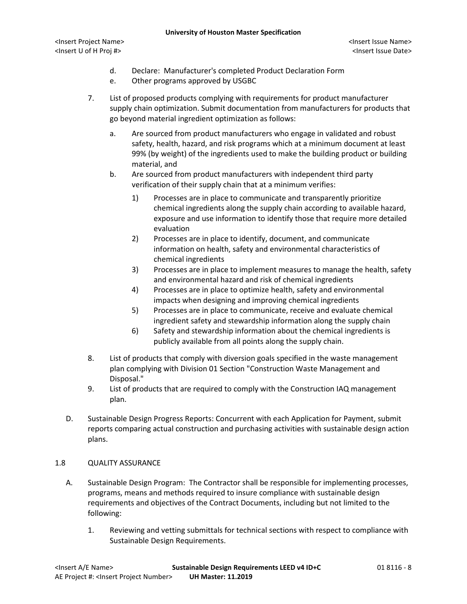- d. Declare: Manufacturer's completed Product Declaration Form
- e. Other programs approved by USGBC
- 7. List of proposed products complying with requirements for product manufacturer supply chain optimization. Submit documentation from manufacturers for products that go beyond material ingredient optimization as follows:
	- a. Are sourced from product manufacturers who engage in validated and robust safety, health, hazard, and risk programs which at a minimum document at least 99% (by weight) of the ingredients used to make the building product or building material, and
	- b. Are sourced from product manufacturers with independent third party verification of their supply chain that at a minimum verifies:
		- 1) Processes are in place to communicate and transparently prioritize chemical ingredients along the supply chain according to available hazard, exposure and use information to identify those that require more detailed evaluation
		- 2) Processes are in place to identify, document, and communicate information on health, safety and environmental characteristics of chemical ingredients
		- 3) Processes are in place to implement measures to manage the health, safety and environmental hazard and risk of chemical ingredients
		- 4) Processes are in place to optimize health, safety and environmental impacts when designing and improving chemical ingredients
		- 5) Processes are in place to communicate, receive and evaluate chemical ingredient safety and stewardship information along the supply chain
		- 6) Safety and stewardship information about the chemical ingredients is publicly available from all points along the supply chain.
- 8. List of products that comply with diversion goals specified in the waste management plan complying with Division 01 Section "Construction Waste Management and Disposal."
- 9. List of products that are required to comply with the Construction IAQ management plan.
- D. Sustainable Design Progress Reports: Concurrent with each Application for Payment, submit reports comparing actual construction and purchasing activities with sustainable design action plans.

## 1.8 QUALITY ASSURANCE

- A. Sustainable Design Program: The Contractor shall be responsible for implementing processes, programs, means and methods required to insure compliance with sustainable design requirements and objectives of the Contract Documents, including but not limited to the following:
	- 1. Reviewing and vetting submittals for technical sections with respect to compliance with Sustainable Design Requirements.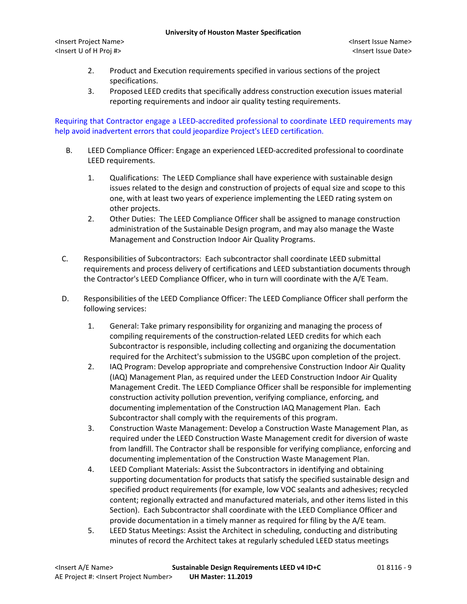<Insert Project Name> <Insert Issue Name> <Insert U of H Proj #> <Insert Issue Date>

- 2. Product and Execution requirements specified in various sections of the project specifications.
- 3. Proposed LEED credits that specifically address construction execution issues material reporting requirements and indoor air quality testing requirements.

Requiring that Contractor engage a LEED-accredited professional to coordinate LEED requirements may help avoid inadvertent errors that could jeopardize Project's LEED certification.

- B. LEED Compliance Officer: Engage an experienced LEED-accredited professional to coordinate LEED requirements.
	- 1. Qualifications: The LEED Compliance shall have experience with sustainable design issues related to the design and construction of projects of equal size and scope to this one, with at least two years of experience implementing the LEED rating system on other projects.
	- 2. Other Duties: The LEED Compliance Officer shall be assigned to manage construction administration of the Sustainable Design program, and may also manage the Waste Management and Construction Indoor Air Quality Programs.
- C. Responsibilities of Subcontractors: Each subcontractor shall coordinate LEED submittal requirements and process delivery of certifications and LEED substantiation documents through the Contractor's LEED Compliance Officer, who in turn will coordinate with the A/E Team.
- D. Responsibilities of the LEED Compliance Officer: The LEED Compliance Officer shall perform the following services:
	- 1. General: Take primary responsibility for organizing and managing the process of compiling requirements of the construction-related LEED credits for which each Subcontractor is responsible, including collecting and organizing the documentation required for the Architect's submission to the USGBC upon completion of the project.
	- 2. IAQ Program: Develop appropriate and comprehensive Construction Indoor Air Quality (IAQ) Management Plan, as required under the LEED Construction Indoor Air Quality Management Credit. The LEED Compliance Officer shall be responsible for implementing construction activity pollution prevention, verifying compliance, enforcing, and documenting implementation of the Construction IAQ Management Plan. Each Subcontractor shall comply with the requirements of this program.
	- 3. Construction Waste Management: Develop a Construction Waste Management Plan, as required under the LEED Construction Waste Management credit for diversion of waste from landfill. The Contractor shall be responsible for verifying compliance, enforcing and documenting implementation of the Construction Waste Management Plan.
	- 4. LEED Compliant Materials: Assist the Subcontractors in identifying and obtaining supporting documentation for products that satisfy the specified sustainable design and specified product requirements (for example, low VOC sealants and adhesives; recycled content; regionally extracted and manufactured materials, and other items listed in this Section). Each Subcontractor shall coordinate with the LEED Compliance Officer and provide documentation in a timely manner as required for filing by the A/E team.
	- 5. LEED Status Meetings: Assist the Architect in scheduling, conducting and distributing minutes of record the Architect takes at regularly scheduled LEED status meetings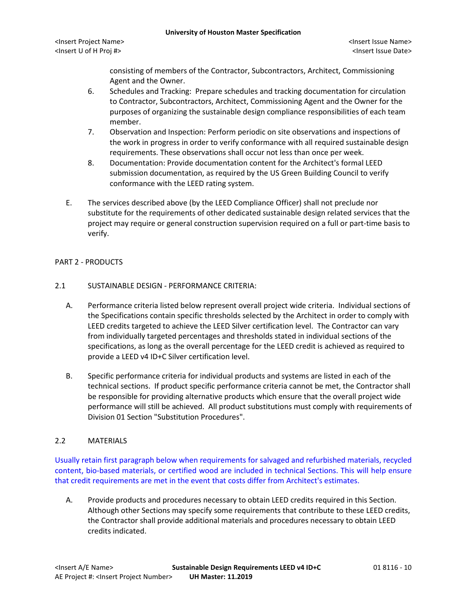consisting of members of the Contractor, Subcontractors, Architect, Commissioning Agent and the Owner.

- 6. Schedules and Tracking: Prepare schedules and tracking documentation for circulation to Contractor, Subcontractors, Architect, Commissioning Agent and the Owner for the purposes of organizing the sustainable design compliance responsibilities of each team member.
- 7. Observation and Inspection: Perform periodic on site observations and inspections of the work in progress in order to verify conformance with all required sustainable design requirements. These observations shall occur not less than once per week.
- 8. Documentation: Provide documentation content for the Architect's formal LEED submission documentation, as required by the US Green Building Council to verify conformance with the LEED rating system.
- E. The services described above (by the LEED Compliance Officer) shall not preclude nor substitute for the requirements of other dedicated sustainable design related services that the project may require or general construction supervision required on a full or part-time basis to verify.

## PART 2 - PRODUCTS

### 2.1 SUSTAINABLE DESIGN - PERFORMANCE CRITERIA:

- A. Performance criteria listed below represent overall project wide criteria. Individual sections of the Specifications contain specific thresholds selected by the Architect in order to comply with LEED credits targeted to achieve the LEED Silver certification level. The Contractor can vary from individually targeted percentages and thresholds stated in individual sections of the specifications, as long as the overall percentage for the LEED credit is achieved as required to provide a LEED v4 ID+C Silver certification level.
- B. Specific performance criteria for individual products and systems are listed in each of the technical sections. If product specific performance criteria cannot be met, the Contractor shall be responsible for providing alternative products which ensure that the overall project wide performance will still be achieved. All product substitutions must comply with requirements of Division 01 Section "Substitution Procedures".

## 2.2 MATERIALS

Usually retain first paragraph below when requirements for salvaged and refurbished materials, recycled content, bio-based materials, or certified wood are included in technical Sections. This will help ensure that credit requirements are met in the event that costs differ from Architect's estimates.

A. Provide products and procedures necessary to obtain LEED credits required in this Section. Although other Sections may specify some requirements that contribute to these LEED credits, the Contractor shall provide additional materials and procedures necessary to obtain LEED credits indicated.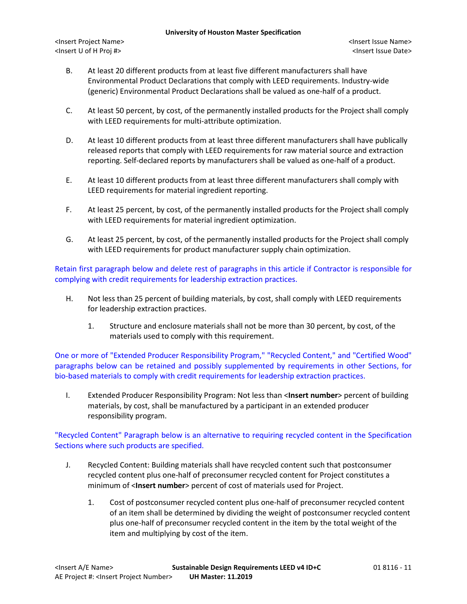- B. At least 20 different products from at least five different manufacturers shall have Environmental Product Declarations that comply with LEED requirements. Industry-wide (generic) Environmental Product Declarations shall be valued as one-half of a product.
- C. At least 50 percent, by cost, of the permanently installed products for the Project shall comply with LEED requirements for multi-attribute optimization.
- D. At least 10 different products from at least three different manufacturers shall have publically released reports that comply with LEED requirements for raw material source and extraction reporting. Self-declared reports by manufacturers shall be valued as one-half of a product.
- E. At least 10 different products from at least three different manufacturers shall comply with LEED requirements for material ingredient reporting.
- F. At least 25 percent, by cost, of the permanently installed products for the Project shall comply with LEED requirements for material ingredient optimization.
- G. At least 25 percent, by cost, of the permanently installed products for the Project shall comply with LEED requirements for product manufacturer supply chain optimization.

Retain first paragraph below and delete rest of paragraphs in this article if Contractor is responsible for complying with credit requirements for leadership extraction practices.

- H. Not less than 25 percent of building materials, by cost, shall comply with LEED requirements for leadership extraction practices.
	- 1. Structure and enclosure materials shall not be more than 30 percent, by cost, of the materials used to comply with this requirement.

One or more of "Extended Producer Responsibility Program," "Recycled Content," and "Certified Wood" paragraphs below can be retained and possibly supplemented by requirements in other Sections, for bio-based materials to comply with credit requirements for leadership extraction practices.

I. Extended Producer Responsibility Program: Not less than <**Insert number**> percent of building materials, by cost, shall be manufactured by a participant in an extended producer responsibility program.

"Recycled Content" Paragraph below is an alternative to requiring recycled content in the Specification Sections where such products are specified.

- J. Recycled Content: Building materials shall have recycled content such that postconsumer recycled content plus one-half of preconsumer recycled content for Project constitutes a minimum of <**Insert number**> percent of cost of materials used for Project.
	- 1. Cost of postconsumer recycled content plus one-half of preconsumer recycled content of an item shall be determined by dividing the weight of postconsumer recycled content plus one-half of preconsumer recycled content in the item by the total weight of the item and multiplying by cost of the item.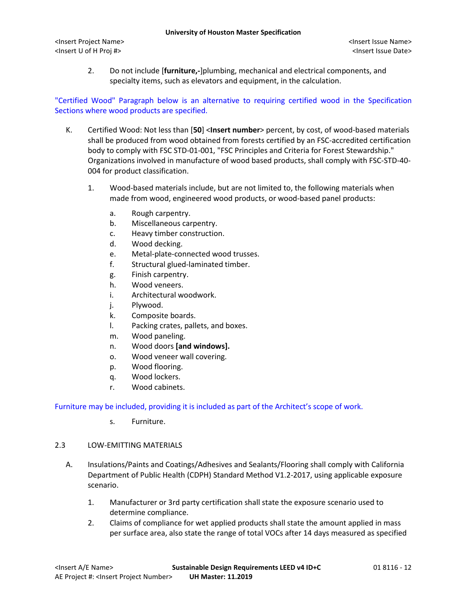2. Do not include [**furniture,-**]plumbing, mechanical and electrical components, and specialty items, such as elevators and equipment, in the calculation.

# "Certified Wood" Paragraph below is an alternative to requiring certified wood in the Specification Sections where wood products are specified.

- K. Certified Wood: Not less than [**50**] <**Insert number**> percent, by cost, of wood-based materials shall be produced from wood obtained from forests certified by an FSC-accredited certification body to comply with FSC STD-01-001, "FSC Principles and Criteria for Forest Stewardship." Organizations involved in manufacture of wood based products, shall comply with FSC-STD-40- 004 for product classification.
	- 1. Wood-based materials include, but are not limited to, the following materials when made from wood, engineered wood products, or wood-based panel products:
		- a. Rough carpentry.
		- b. Miscellaneous carpentry.
		- c. Heavy timber construction.
		- d. Wood decking.
		- e. Metal-plate-connected wood trusses.
		- f. Structural glued-laminated timber.
		- g. Finish carpentry.
		- h. Wood veneers.
		- i. Architectural woodwork.
		- j. Plywood.
		- k. Composite boards.
		- l. Packing crates, pallets, and boxes.
		- m. Wood paneling.
		- n. Wood doors **[and windows].**
		- o. Wood veneer wall covering.
		- p. Wood flooring.
		- q. Wood lockers.
		- r. Wood cabinets.

Furniture may be included, providing it is included as part of the Architect's scope of work.

s. Furniture.

## 2.3 LOW-EMITTING MATERIALS

- A. Insulations/Paints and Coatings/Adhesives and Sealants/Flooring shall comply with California Department of Public Health (CDPH) Standard Method V1.2-2017, using applicable exposure scenario.
	- 1. Manufacturer or 3rd party certification shall state the exposure scenario used to determine compliance.
	- 2. Claims of compliance for wet applied products shall state the amount applied in mass per surface area, also state the range of total VOCs after 14 days measured as specified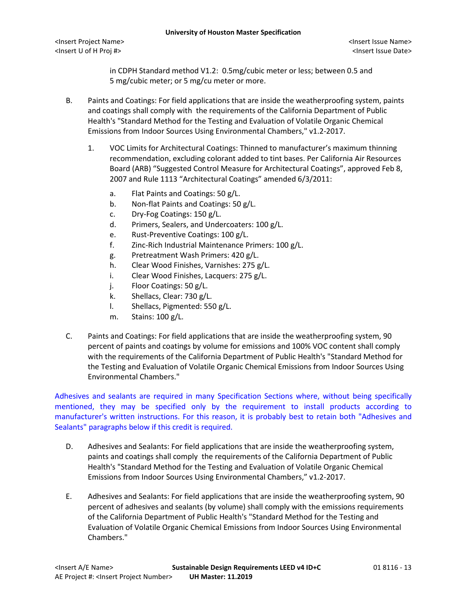in CDPH Standard method V1.2: 0.5mg/cubic meter or less; between 0.5 and 5 mg/cubic meter; or 5 mg/cu meter or more.

- B. Paints and Coatings: For field applications that are inside the weatherproofing system, paints and coatings shall comply with the requirements of the California Department of Public Health's "Standard Method for the Testing and Evaluation of Volatile Organic Chemical Emissions from Indoor Sources Using Environmental Chambers," v1.2-2017.
	- 1. VOC Limits for Architectural Coatings: Thinned to manufacturer's maximum thinning recommendation, excluding colorant added to tint bases. Per California Air Resources Board (ARB) "Suggested Control Measure for Architectural Coatings", approved Feb 8, 2007 and Rule 1113 "Architectural Coatings" amended 6/3/2011:
		- a. Flat Paints and Coatings: 50 g/L.
		- b. Non-flat Paints and Coatings: 50 g/L.
		- c. Dry-Fog Coatings: 150 g/L.
		- d. Primers, Sealers, and Undercoaters: 100 g/L.
		- e. Rust-Preventive Coatings: 100 g/L.
		- f. Zinc-Rich Industrial Maintenance Primers: 100 g/L.
		- g. Pretreatment Wash Primers: 420 g/L.
		- h. Clear Wood Finishes, Varnishes: 275 g/L.
		- i. Clear Wood Finishes, Lacquers: 275 g/L.
		- j. Floor Coatings: 50 g/L.
		- k. Shellacs, Clear: 730 g/L.
		- l. Shellacs, Pigmented: 550 g/L.
		- m. Stains: 100 g/L.
- C. Paints and Coatings: For field applications that are inside the weatherproofing system, 90 percent of paints and coatings by volume for emissions and 100% VOC content shall comply with the requirements of the California Department of Public Health's "Standard Method for the Testing and Evaluation of Volatile Organic Chemical Emissions from Indoor Sources Using Environmental Chambers."

Adhesives and sealants are required in many Specification Sections where, without being specifically mentioned, they may be specified only by the requirement to install products according to manufacturer's written instructions. For this reason, it is probably best to retain both "Adhesives and Sealants" paragraphs below if this credit is required.

- D. Adhesives and Sealants: For field applications that are inside the weatherproofing system, paints and coatings shall comply the requirements of the California Department of Public Health's "Standard Method for the Testing and Evaluation of Volatile Organic Chemical Emissions from Indoor Sources Using Environmental Chambers," v1.2-2017.
- E. Adhesives and Sealants: For field applications that are inside the weatherproofing system, 90 percent of adhesives and sealants (by volume) shall comply with the emissions requirements of the California Department of Public Health's "Standard Method for the Testing and Evaluation of Volatile Organic Chemical Emissions from Indoor Sources Using Environmental Chambers."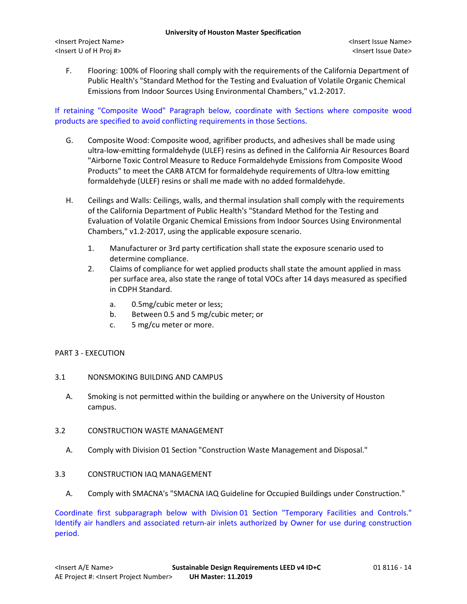F. Flooring: 100% of Flooring shall comply with the requirements of the California Department of Public Health's "Standard Method for the Testing and Evaluation of Volatile Organic Chemical Emissions from Indoor Sources Using Environmental Chambers," v1.2-2017.

If retaining "Composite Wood" Paragraph below, coordinate with Sections where composite wood products are specified to avoid conflicting requirements in those Sections.

- G. Composite Wood: Composite wood, agrifiber products, and adhesives shall be made using ultra-low-emitting formaldehyde (ULEF) resins as defined in the California Air Resources Board "Airborne Toxic Control Measure to Reduce Formaldehyde Emissions from Composite Wood Products" to meet the CARB ATCM for formaldehyde requirements of Ultra-low emitting formaldehyde (ULEF) resins or shall me made with no added formaldehyde.
- H. Ceilings and Walls: Ceilings, walls, and thermal insulation shall comply with the requirements of the California Department of Public Health's "Standard Method for the Testing and Evaluation of Volatile Organic Chemical Emissions from Indoor Sources Using Environmental Chambers," v1.2-2017, using the applicable exposure scenario.
	- 1. Manufacturer or 3rd party certification shall state the exposure scenario used to determine compliance.
	- 2. Claims of compliance for wet applied products shall state the amount applied in mass per surface area, also state the range of total VOCs after 14 days measured as specified in CDPH Standard.
		- a. 0.5mg/cubic meter or less;
		- b. Between 0.5 and 5 mg/cubic meter; or
		- c. 5 mg/cu meter or more.

## PART 3 - EXECUTION

- 3.1 NONSMOKING BUILDING AND CAMPUS
	- A. Smoking is not permitted within the building or anywhere on the University of Houston campus.
- 3.2 CONSTRUCTION WASTE MANAGEMENT
	- A. Comply with Division 01 Section "Construction Waste Management and Disposal."

## 3.3 CONSTRUCTION IAQ MANAGEMENT

A. Comply with SMACNA's "SMACNA IAQ Guideline for Occupied Buildings under Construction."

Coordinate first subparagraph below with Division 01 Section "Temporary Facilities and Controls." Identify air handlers and associated return-air inlets authorized by Owner for use during construction period.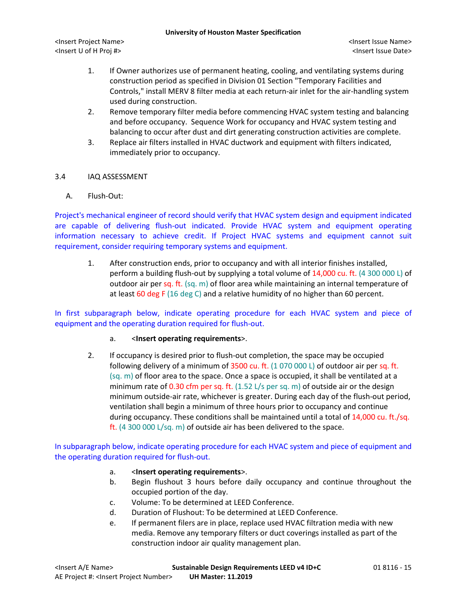- 1. If Owner authorizes use of permanent heating, cooling, and ventilating systems during construction period as specified in Division 01 Section "Temporary Facilities and Controls," install MERV 8 filter media at each return-air inlet for the air-handling system used during construction.
- 2. Remove temporary filter media before commencing HVAC system testing and balancing and before occupancy. Sequence Work for occupancy and HVAC system testing and balancing to occur after dust and dirt generating construction activities are complete.
- 3. Replace air filters installed in HVAC ductwork and equipment with filters indicated, immediately prior to occupancy.

## 3.4 IAQ ASSESSMENT

A. Flush-Out:

Project's mechanical engineer of record should verify that HVAC system design and equipment indicated are capable of delivering flush-out indicated. Provide HVAC system and equipment operating information necessary to achieve credit. If Project HVAC systems and equipment cannot suit requirement, consider requiring temporary systems and equipment.

1. After construction ends, prior to occupancy and with all interior finishes installed, perform a building flush-out by supplying a total volume of 14,000 cu. ft. (4 300 000 L) of outdoor air per sq. ft.  $(sq. m)$  of floor area while maintaining an internal temperature of at least 60 deg F (16 deg C) and a relative humidity of no higher than 60 percent.

In first subparagraph below, indicate operating procedure for each HVAC system and piece of equipment and the operating duration required for flush-out.

- a. <**Insert operating requirements**>.
- 2. If occupancy is desired prior to flush-out completion, the space may be occupied following delivery of a minimum of 3500 cu. ft.  $(1 070 000 L)$  of outdoor air per sq. ft. (sq. m) of floor area to the space. Once a space is occupied, it shall be ventilated at a minimum rate of 0.30 cfm per sq. ft. (1.52 L/s per sq. m) of outside air or the design minimum outside-air rate, whichever is greater. During each day of the flush-out period, ventilation shall begin a minimum of three hours prior to occupancy and continue during occupancy. These conditions shall be maintained until a total of 14,000 cu. ft./sq. ft. (4 300 000 L/sq. m) of outside air has been delivered to the space.

In subparagraph below, indicate operating procedure for each HVAC system and piece of equipment and the operating duration required for flush-out.

- a. <**Insert operating requirements**>.
- b. Begin flushout 3 hours before daily occupancy and continue throughout the occupied portion of the day.
- c. Volume: To be determined at LEED Conference.
- d. Duration of Flushout: To be determined at LEED Conference.
- e. If permanent filers are in place, replace used HVAC filtration media with new media. Remove any temporary filters or duct coverings installed as part of the construction indoor air quality management plan.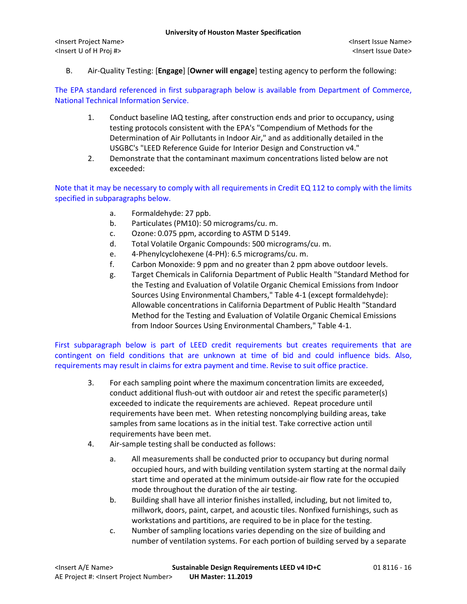B. Air-Quality Testing: [**Engage**] [**Owner will engage**] testing agency to perform the following:

The EPA standard referenced in first subparagraph below is available from Department of Commerce, National Technical Information Service.

- 1. Conduct baseline IAQ testing, after construction ends and prior to occupancy, using testing protocols consistent with the EPA's "Compendium of Methods for the Determination of Air Pollutants in Indoor Air," and as additionally detailed in the USGBC's "LEED Reference Guide for Interior Design and Construction v4."
- 2. Demonstrate that the contaminant maximum concentrations listed below are not exceeded:

Note that it may be necessary to comply with all requirements in Credit EQ 112 to comply with the limits specified in subparagraphs below.

- a. Formaldehyde: 27 ppb.
- b. Particulates (PM10): 50 micrograms/cu. m.
- c. Ozone: 0.075 ppm, according to ASTM D 5149.
- d. Total Volatile Organic Compounds: 500 micrograms/cu. m.
- e. 4-Phenylcyclohexene (4-PH): 6.5 micrograms/cu. m.
- f. Carbon Monoxide: 9 ppm and no greater than 2 ppm above outdoor levels.
- g. Target Chemicals in California Department of Public Health "Standard Method for the Testing and Evaluation of Volatile Organic Chemical Emissions from Indoor Sources Using Environmental Chambers," Table 4-1 (except formaldehyde): Allowable concentrations in California Department of Public Health "Standard Method for the Testing and Evaluation of Volatile Organic Chemical Emissions from Indoor Sources Using Environmental Chambers," Table 4-1.

First subparagraph below is part of LEED credit requirements but creates requirements that are contingent on field conditions that are unknown at time of bid and could influence bids. Also, requirements may result in claims for extra payment and time. Revise to suit office practice.

- 3. For each sampling point where the maximum concentration limits are exceeded, conduct additional flush-out with outdoor air and retest the specific parameter(s) exceeded to indicate the requirements are achieved. Repeat procedure until requirements have been met. When retesting noncomplying building areas, take samples from same locations as in the initial test. Take corrective action until requirements have been met.
- 4. Air-sample testing shall be conducted as follows:
	- a. All measurements shall be conducted prior to occupancy but during normal occupied hours, and with building ventilation system starting at the normal daily start time and operated at the minimum outside-air flow rate for the occupied mode throughout the duration of the air testing.
	- b. Building shall have all interior finishes installed, including, but not limited to, millwork, doors, paint, carpet, and acoustic tiles. Nonfixed furnishings, such as workstations and partitions, are required to be in place for the testing.
	- c. Number of sampling locations varies depending on the size of building and number of ventilation systems. For each portion of building served by a separate